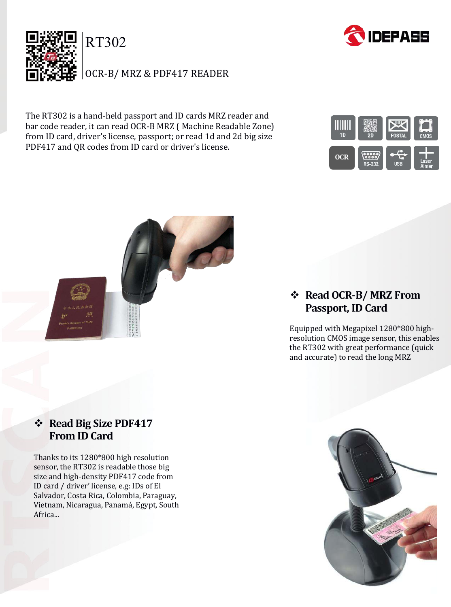

The RT302 is a hand-held passport and ID cards MRZ reader and bar code reader, it can read OCR-B MRZ ( Machine Readable Zone) from ID card, driver's license, passport; or read 1d and 2d big size PDF417 and QR codes from ID card or driver's license.





## **❖ Read Big Size PDF417 From ID Card**

Thanks to its 1280\*800 high resolution sensor, the RT302 is readable those big size and high-density PDF417 code from ID card / driver' license, e.g: IDs of El Salvador, Costa Rica, Colombia, Paraguay, Vietnam, Nicaragua, Panamá, Egypt, South Africa...

## **Read OCR-B/ MRZ From Passport, ID Card**

Equipped with Megapixel 1280\*800 highresolution CMOS image sensor, this enables the RT302 with great performance (quick and accurate) to read the long MRZ